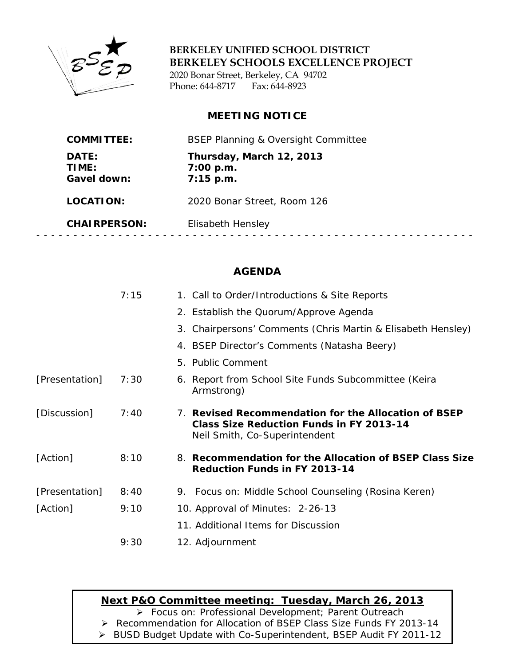

**BERKELEY UNIFIED SCHOOL DISTRICT BERKELEY SCHOOLS EXCELLENCE PROJECT**

2020 Bonar Street, Berkeley, CA 94702 Phone: 644-8717 Fax: 644-8923

## **MEETING NOTICE**

| <b>COMMITTEE:</b>             | <b>BSEP Planning &amp; Oversight Committee</b>       |
|-------------------------------|------------------------------------------------------|
| DATE:<br>TIME:<br>Gavel down: | Thursday, March 12, 2013<br>7:00 p.m.<br>$7:15$ p.m. |
| LOCATION:                     | 2020 Bonar Street, Room 126                          |
| <b>CHAIRPERSON:</b>           | Elisabeth Hensley                                    |
|                               |                                                      |

# **AGENDA**

|                | 7:15 | 1. Call to Order/Introductions & Site Reports                                                                                            |
|----------------|------|------------------------------------------------------------------------------------------------------------------------------------------|
|                |      | 2. Establish the Quorum/Approve Agenda                                                                                                   |
|                |      | 3. Chairpersons' Comments (Chris Martin & Elisabeth Hensley)                                                                             |
|                |      | 4. BSEP Director's Comments (Natasha Beery)                                                                                              |
|                |      | 5. Public Comment                                                                                                                        |
| [Presentation] | 7:30 | 6. Report from School Site Funds Subcommittee (Keira<br>Armstrong)                                                                       |
| [Discussion]   | 7:40 | 7. Revised Recommendation for the Allocation of BSEP<br><b>Class Size Reduction Funds in FY 2013-14</b><br>Neil Smith, Co-Superintendent |
| [Action]       | 8:10 | 8. Recommendation for the Allocation of BSEP Class Size<br><b>Reduction Funds in FY 2013-14</b>                                          |
| [Presentation] | 8:40 | 9. Focus on: Middle School Counseling (Rosina Keren)                                                                                     |
| [Action]       | 9:10 | 10. Approval of Minutes: 2-26-13                                                                                                         |
|                |      | 11. Additional Items for Discussion                                                                                                      |
|                | 9:30 | 12. Adjournment                                                                                                                          |

# **Next P&O Committee meeting: Tuesday, March 26, 2013**

*Focus on: Professional Development; Parent Outreach*

Recommendation for Allocation of BSEP Class Size Funds FY 2013-14

BUSD Budget Update with Co-Superintendent, BSEP Audit FY 2011-12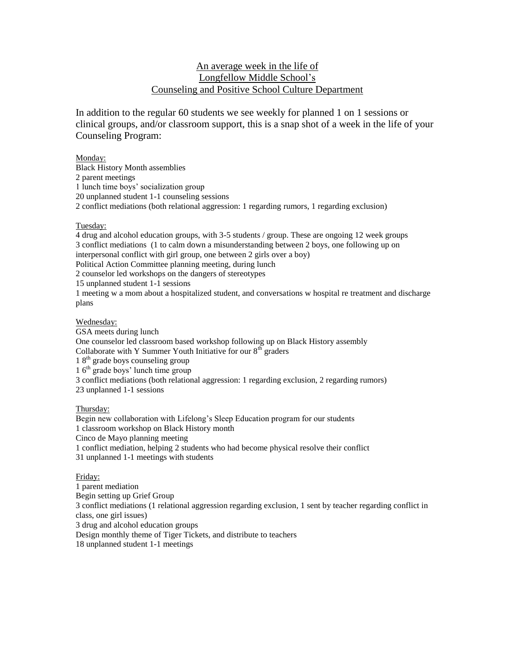#### An average week in the life of Longfellow Middle School's Counseling and Positive School Culture Department

In addition to the regular 60 students we see weekly for planned 1 on 1 sessions or clinical groups, and/or classroom support, this is a snap shot of a week in the life of your Counseling Program:

#### Monday:

Black History Month assemblies 2 parent meetings 1 lunch time boys' socialization group 20 unplanned student 1-1 counseling sessions 2 conflict mediations (both relational aggression: 1 regarding rumors, 1 regarding exclusion)

#### Tuesday:

4 drug and alcohol education groups, with 3-5 students / group. These are ongoing 12 week groups 3 conflict mediations (1 to calm down a misunderstanding between 2 boys, one following up on interpersonal conflict with girl group, one between 2 girls over a boy) Political Action Committee planning meeting, during lunch 2 counselor led workshops on the dangers of stereotypes 15 unplanned student 1-1 sessions

1 meeting w a mom about a hospitalized student, and conversations w hospital re treatment and discharge plans

#### Wednesday:

GSA meets during lunch One counselor led classroom based workshop following up on Black History assembly Collaborate with Y Summer Youth Initiative for our  $8<sup>th</sup>$  graders 1 8<sup>th</sup> grade boys counseling group  $16<sup>th</sup>$  grade boys' lunch time group 3 conflict mediations (both relational aggression: 1 regarding exclusion, 2 regarding rumors) 23 unplanned 1-1 sessions

#### Thursday:

Begin new collaboration with Lifelong's Sleep Education program for our students 1 classroom workshop on Black History month Cinco de Mayo planning meeting 1 conflict mediation, helping 2 students who had become physical resolve their conflict 31 unplanned 1-1 meetings with students

#### Friday:

1 parent mediation Begin setting up Grief Group 3 conflict mediations (1 relational aggression regarding exclusion, 1 sent by teacher regarding conflict in class, one girl issues) 3 drug and alcohol education groups Design monthly theme of Tiger Tickets, and distribute to teachers 18 unplanned student 1-1 meetings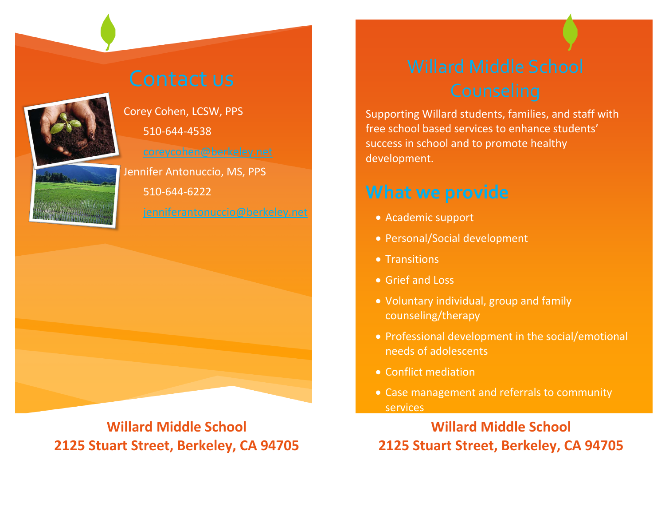Supporting Willard students, families, and staff with free school based services to enhance students' success in school and to promote healthy development.

- Academic support
- Personal/Social development
- Transitions
- Grief and Loss
- Voluntary individual, group and family counseling/therapy
- needs of adolescents
- Conflict mediation
- services

• Professional development in the social/emotional

• Case management and referrals to community

# **Willard Middle School 2125 Stuart Street, Berkeley, CA 94705**



Corey Cohen, LCSW, PPS 510-644-4538 [coreycohen@berkeley.net](mailto:coreycohen@berkeley.net) Jennifer Antonuccio, MS, PPS 510-644-6222 [jenniferantonuccio@berkeley.net](mailto:jenniferantonuccio@berkeley.net)



**Willard Middle School 2125 Stuart Street, Berkeley, CA 94705**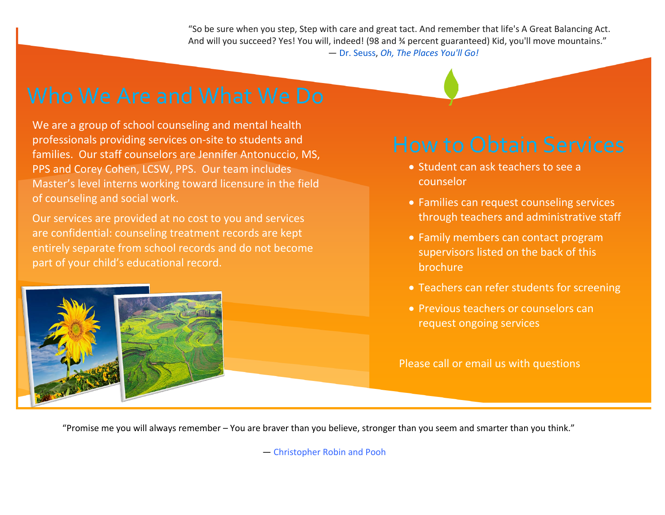"So be sure when you step, Step with care and great tact. And remember that life's A Great Balancing Act. And will you succeed? Yes! You will, indeed! (98 and % percent guaranteed) Kid, you'll move mountains." ― [Dr. Seuss,](http://www.goodreads.com/author/show/61105.Dr_Seuss) *[Oh, The Places You'll Go!](http://www.goodreads.com/work/quotes/2125304)*

"Promise me you will always remember – You are braver than you believe, stronger than you seem and smarter than you think."

― Christopher Robin and Pooh

We are a group of school counseling and mental health professionals providing services on-site to students and families. Our staff counselors are Jennifer Antonuccio, MS, PPS and Corey Cohen, LCSW, PPS. Our team includes Master's level interns working toward licensure in the field of counseling and social work.

Our services are provided at no cost to you and services are confidential: counseling treatment records are kept entirely separate from school records and do not become part of your child's educational record.



• Families can request counseling services through teachers and administrative staff

- Student can ask teachers to see a counselor
- 
- brochure
- 
- request ongoing services

• Family members can contact program supervisors listed on the back of this

• Teachers can refer students for screening

• Previous teachers or counselors can

Please call or email us with questions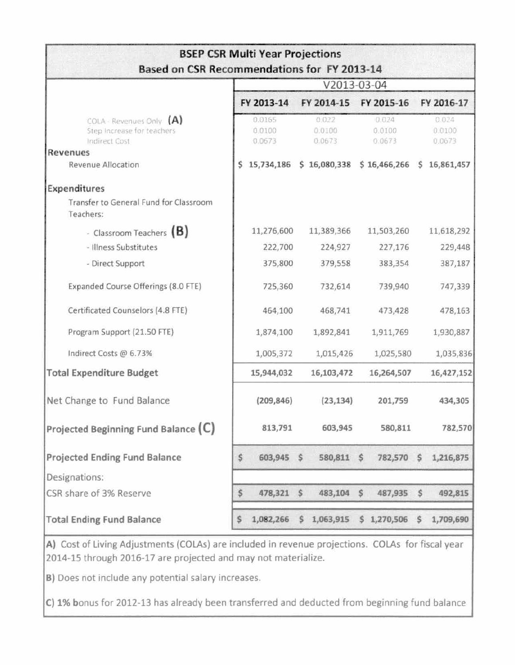| Based on CSR Recommendations for FY 2013-14                             |    | <b>BSEP CSR Multi Year Projections</b> |              |                                                      |                           |                           |
|-------------------------------------------------------------------------|----|----------------------------------------|--------------|------------------------------------------------------|---------------------------|---------------------------|
|                                                                         |    |                                        |              | V2013-03-04                                          |                           |                           |
|                                                                         |    | FY 2013-14                             |              | FY 2014-15 FY 2015-16                                |                           | FY 2016-17                |
| COLA - Revenues Only (A)<br>Step Increase for teachers<br>Indirect Cost |    | 0.0165<br>0.0100<br>0.0673             |              | 0.022<br>0.0100<br>0.0673                            | 0.024<br>0.0100<br>0.0673 | 0.024<br>0.0100<br>0.0673 |
| Revenues                                                                |    |                                        |              |                                                      |                           |                           |
| Revenue Allocation                                                      |    |                                        |              | 15,734,186 \$ 16,080,338 \$ 16,466,266 \$ 16,861,457 |                           |                           |
| Expenditures                                                            |    |                                        |              |                                                      |                           |                           |
| Transfer to General Fund for Classroom<br>Teachers:                     |    |                                        |              |                                                      |                           |                           |
| - Classroom Teachers $(B)$                                              |    | 11,276,600                             |              | 11,389,366                                           | 11,503,260                | 11,618,292                |
| - Illness Substitutes                                                   |    | 222,700                                |              | 224,927                                              | 227,176                   | 229,448                   |
| - Direct Support                                                        |    | 375,800                                |              | 379,558                                              | 383,354                   | 387,187                   |
| Expanded Course Offerings (8.0 FTE)                                     |    | 725,360                                |              | 732,614                                              | 739,940                   | 747,339                   |
| Certificated Counselors (4.8 FTE)                                       |    | 464,100                                |              | 468,741                                              | 473,428                   | 478,163                   |
| Program Support (21.50 FTE)                                             |    | 1,874,100                              |              | 1,892,841                                            | 1,911,769                 | 1,930,887                 |
| Indirect Costs @ 6.73%                                                  |    | 1,005,372                              |              | 1,015,426                                            | 1,025,580                 | 1,035,836                 |
| <b>Total Expenditure Budget</b>                                         |    | 15,944,032                             |              | 16,103,472                                           | 16,264,507                | 16,427,152                |
| Net Change to Fund Balance                                              |    | (209, 846)                             |              | (23, 134)                                            | 201,759                   | 434,305                   |
| Projected Beginning Fund Balance (C)                                    |    | 813,791                                |              | 603,945                                              | 580,811                   | 782,570                   |
| Projected Ending Fund Balance                                           | \$ | 603,945 \$                             |              | 580,811 \$                                           |                           | 782,570 \$ 1,216,875      |
| Designations:                                                           |    |                                        |              |                                                      |                           |                           |
| CSR share of 3% Reserve                                                 | \$ | 478,321 \$                             |              | 483,104 \$                                           | 487,935 \$                | 492,815                   |
| <b>Total Ending Fund Balance</b>                                        | s  | 1,082,266                              | $\mathsf{S}$ |                                                      | 1,063,915 \$ 1,270,506 \$ | 1,709,690                 |

A) Cost of Living Adjustments (COLAs) are included in revenue projections. COLAs for fiscal year 2014-15 through 2016-17 are projected and may not materialize.

B) Does not include any potential salary increases.

C) 1% bonus for 2012-13 has already been transferred and deducted from beginning fund balance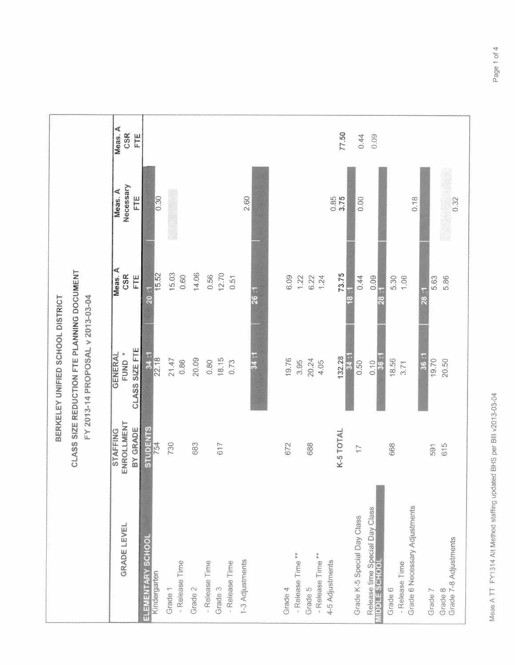|                                                            |                                    | BERKELEY UNIFIED SCHOOL DISTRICT                   |                                                                                                           |                                |                                        |
|------------------------------------------------------------|------------------------------------|----------------------------------------------------|-----------------------------------------------------------------------------------------------------------|--------------------------------|----------------------------------------|
|                                                            |                                    | <b>CLASS SIZE REDUCTION FTE PLANNING DOCUMENT</b>  |                                                                                                           |                                |                                        |
|                                                            |                                    | FY 2013-14 PROPOSAL v 2013-03-04                   |                                                                                                           |                                |                                        |
| GRADE LEVEL                                                | ENROLLMENT<br>BY GRADE<br>STAFFING | <b>CLASS SIZE FTE</b><br>¢<br><b>NERZI</b><br>FUND | Meas. A<br>$rac{R}{C}$<br>$\begin{array}{c} \underline{\mathbf{E}} \\ \underline{\mathbf{E}} \end{array}$ | Necessary<br>Meas. A<br>ш<br>Г | Meas. A<br>$\frac{\alpha}{\beta}$<br>E |
| ELEMENTARY SCHOOI<br>Kindergarten                          | <b>STUDENTS</b><br>754             | 34.<br>22.18                                       | 15.52<br>F.                                                                                               | $\frac{8}{0.30}$               |                                        |
| - Release Time<br>Grade <sup>1</sup>                       | 730                                | 21.47<br>$0.86\,$                                  | 15.03<br>$0.60\,$                                                                                         |                                |                                        |
| Grade 2                                                    | 683                                | 20.09                                              | 14.06                                                                                                     |                                |                                        |
| - Release Time<br>-Release Time<br>Grade 3                 | 617                                | 18.15<br>0.80<br>0.73                              | 12.70<br>0.56<br>0.51                                                                                     |                                |                                        |
| 1-3 Adjustments                                            |                                    | 34:1                                               | 26:1                                                                                                      | 2.60                           |                                        |
| - Release Time **<br>Grade 4                               | 672                                | 19.76                                              | 6.09                                                                                                      |                                |                                        |
| - Release Time **<br>Grade 5                               | 688                                | 20.24<br>3.95<br>4.05                              | 1.22<br>6.22<br>1.24                                                                                      |                                |                                        |
| 4-5 Adjustments                                            | K-5 TOTAL                          | 132.28<br>34                                       | 73.75<br>$\mathbf{c}$                                                                                     | 0.85<br>$\frac{5}{3}$          | 77.50                                  |
| Grade K-5 Special Day Class                                | $\overline{\phantom{a}}$           | 0.50                                               | 0.44<br>š                                                                                                 | $\frac{8}{2}$                  | 0.44                                   |
| Release time Special Day Class<br><b>IDDILE SCHOOL</b>     |                                    | <b>36</b><br>0.10                                  | 0.09<br>ž<br>ä                                                                                            |                                | 0.09                                   |
| Grade 6 Necessary Adjustments<br>- Release Time<br>Grade 6 | 668                                | 18.56<br>3.71                                      | 1.06<br>5.30                                                                                              | 0.18                           |                                        |
| Grade 7-8 Adjustments<br>Grade 7<br>Grade 8                | 615<br>591                         | 36:<br>19.70<br>20.50                              | 5.86<br>5.63<br>28:1                                                                                      | 0.32                           |                                        |
|                                                            |                                    |                                                    |                                                                                                           |                                |                                        |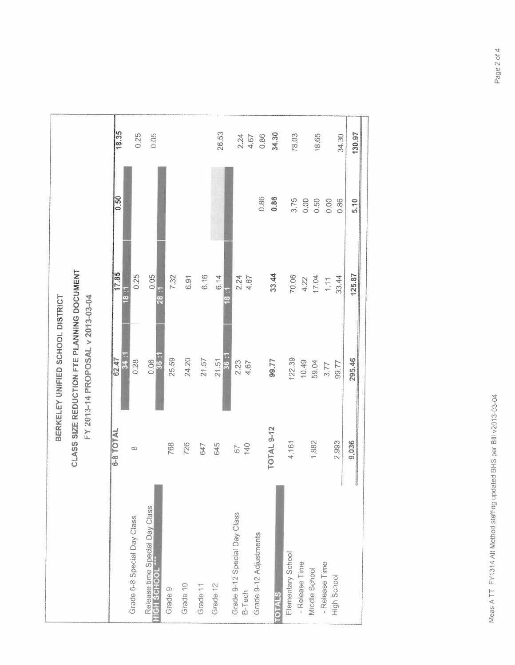|                                |                 | BERKELEY UNIFIED SCHOOL DISTRICT                                               |                        |                |          |
|--------------------------------|-----------------|--------------------------------------------------------------------------------|------------------------|----------------|----------|
|                                |                 | CLASS SIZE REDUCTION FTE PLANNING DOCUMENT<br>FY 2013-14 PROPOSAL v 2013-03-04 |                        |                |          |
|                                | 6-8 TOTAL       | 62.47<br>34                                                                    | 17.85<br>$\frac{1}{8}$ | $\frac{50}{2}$ | 18.35    |
| Grade 6-8 Special Day Class    | œ               | 0.28                                                                           | 0.25                   |                | 0.25     |
| Release time Special Day Class |                 | 36:1<br>0.06                                                                   | 0.05<br>28.5           |                | 0.05     |
|                                | 768             | 25.59                                                                          | 7.32                   |                |          |
|                                | 726             | 24.20                                                                          | 6.91                   |                |          |
|                                | 647             | 21.57                                                                          | 6.16                   |                |          |
|                                | 645             | 56<br>21.51                                                                    | 6.14                   |                | 26.53    |
|                                |                 |                                                                                |                        |                |          |
| Grade 9-12 Special Day Class   | $\tilde{\circ}$ | 2.23                                                                           | 2.24                   |                | 2.24     |
|                                | $\frac{40}{5}$  | 4.67                                                                           | 4.67                   |                | $4.67$   |
|                                |                 |                                                                                |                        | $\frac{86}{2}$ | $0.86\,$ |
|                                | TOTAL 9-12      | 99.77                                                                          | 33.44                  | $0.36$         | 34.30    |
|                                | 4,161           | 122.39                                                                         | 70.06                  | 3.75           | 78.03    |
|                                |                 | 10.49                                                                          | 4.22                   | $0.00$         |          |
|                                | 1,882           | 59.04                                                                          | 17.04                  | 0.50           | 18.65    |
|                                |                 | 3.77                                                                           | $\mathbb{H}^1$         | $0.00$         |          |
|                                | 2,993           | 99.77                                                                          | 33.44                  | $0.86\,$       | 34.30    |
|                                | 9,036           | 295.46                                                                         | 125.87                 | $\frac{0}{5}$  | 130.97   |
|                                |                 |                                                                                |                        |                |          |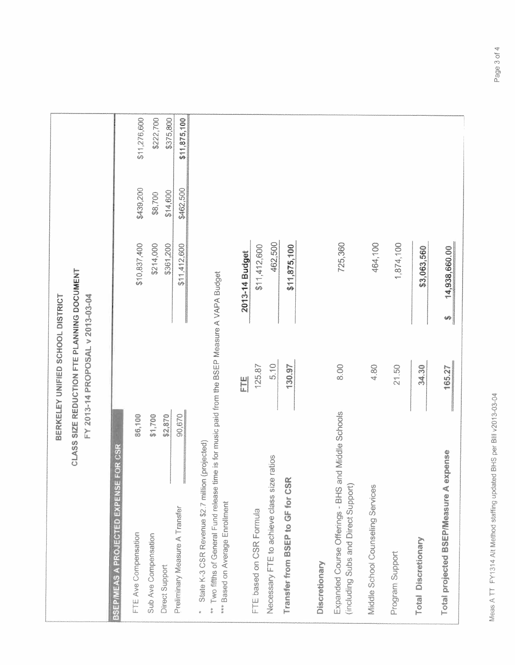|                                                                                                                             | BERKELEY UNIFIED SCHOOL DISTRICT                                               |                    |           |              |
|-----------------------------------------------------------------------------------------------------------------------------|--------------------------------------------------------------------------------|--------------------|-----------|--------------|
|                                                                                                                             | CLASS SIZE REDUCTION FTE PLANNING DOCUMENT<br>FY 2013-14 PROPOSAL v 2013-03-04 |                    |           |              |
| E FOR CSR<br><b>BSEPIMEAS A PROJECTED EXPENS</b>                                                                            |                                                                                |                    |           |              |
| 86,100<br>FTE Ave Compensation                                                                                              |                                                                                | \$10,837,400       | \$439,200 | \$11,276,600 |
| \$1,700<br>Sub Ave Compensation                                                                                             |                                                                                | \$214,000          | \$8,700   | \$222,700    |
| \$2,870<br>Direct Support                                                                                                   |                                                                                | \$361,200          | \$14,600  | \$375,800    |
| 90,670<br>Preliminary Measure A Transfer                                                                                    |                                                                                | \$11,412,600       | \$462,500 | \$11,875,100 |
| State K-3 CSR Revenue \$2.7 million (projected)<br>** Two fifths of General Fund release<br>*** Based on Average Enrollment | time is for music paid from the BSEP Measure A VAPA Budget                     |                    |           |              |
|                                                                                                                             | ш<br>L                                                                         | 2013-14 Budget     |           |              |
| FTE based on CSR Formula                                                                                                    | 125.87                                                                         | \$11,412,600       |           |              |
| Necessary FTE to achieve class size ratios                                                                                  | $\frac{6}{5}$                                                                  | 462,500            |           |              |
| Transfer from BSEP to GF for CSR                                                                                            | 130.97                                                                         | \$11,875,100       |           |              |
| Discretionary                                                                                                               |                                                                                |                    |           |              |
| and Middle Schools<br>Expanded Course Offerings - BHS<br>(including Subs and Direct Support                                 | 8.00                                                                           | 725,360            |           |              |
| Middle School Counseling Services                                                                                           | 4.80                                                                           | 464,100            |           |              |
| Program Support                                                                                                             | 21.50                                                                          | 1,874,100          |           |              |
| <b>Total Discretionary</b>                                                                                                  | 34.30                                                                          | \$3,063,560        |           |              |
| expense<br>Total projected BSEP/Measure A                                                                                   | 165.27                                                                         | 14,938,660.00<br>H |           |              |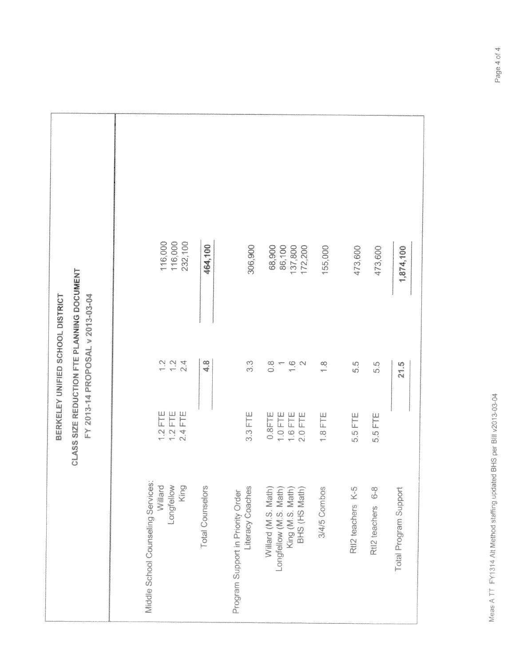|                                                              |                      | BERKELEY UNIFIED SCHOOL DISTRICT                                                      |                    |  |
|--------------------------------------------------------------|----------------------|---------------------------------------------------------------------------------------|--------------------|--|
|                                                              |                      | <b>CLASS SIZE REDUCTION FTE PLANNING DOCUMENT</b><br>FY 2013-14 PROPOSAL v 2013-03-04 |                    |  |
|                                                              |                      |                                                                                       |                    |  |
| Middle School Counseling Services:                           | $1.2$ FTE            | $\frac{2}{1}$                                                                         | 116,000            |  |
| Williard<br>Longfellow<br>King                               | $1.2$ FTE<br>2.4 FTE | 12<br>$\frac{4}{2}$                                                                   | 116,000<br>232,100 |  |
| <b>Total Counselors</b>                                      |                      | $\frac{8}{4}$                                                                         | 464,100            |  |
| Program Support in Priority Order<br><b>Literacy Coaches</b> | $3.3$ FTE            | co<br>co                                                                              | 306,900            |  |
| Williard (M.S. Math)                                         |                      |                                                                                       |                    |  |
| Longfellow (M.S. Math)                                       | 1.0 FTE<br>$0.8$ FTE | $\frac{8}{2}$<br>dures.                                                               | 68,900<br>86,100   |  |
| King (M.S. Math)<br>BHS (HS Math)                            | 1.6 FTE<br>$2.0$ FTE | $\frac{1}{\gamma} \frac{1}{\gamma}$                                                   | 137,800<br>172,200 |  |
| 3/4/5 Combos                                                 | $1.8$ FTE            | $\frac{1}{2}$                                                                         | 155,000            |  |
| Rtl2 teachers K-5                                            | 5.5 FTE              | 5.8                                                                                   | 473,600            |  |
| က<br>ထ<br>Rtl2 teachers                                      | 5.5 FTE              | 5.8                                                                                   | 473,600            |  |
| Total Program Support                                        |                      | 2.5                                                                                   | 1,874,100          |  |
|                                                              |                      |                                                                                       |                    |  |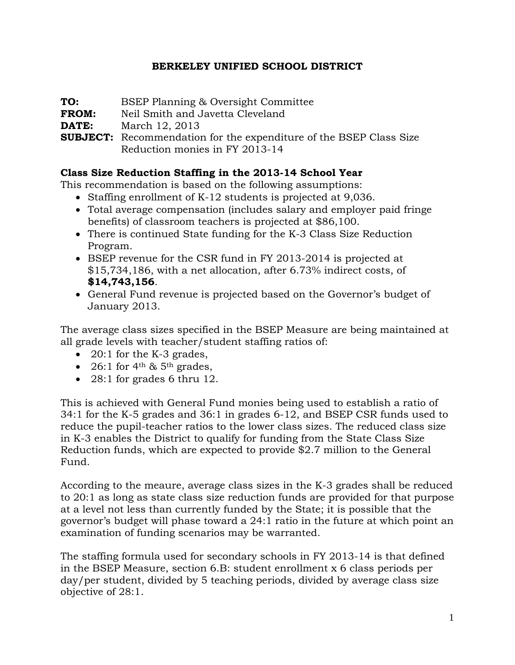# **BERKELEY UNIFIED SCHOOL DISTRICT**

**TO:** BSEP Planning & Oversight Committee

**FROM:** Neil Smith and Javetta Cleveland

**DATE:** March 12, 2013

**SUBJECT:** Recommendation for the expenditure of the BSEP Class Size Reduction monies in FY 2013-14

# **Class Size Reduction Staffing in the 2013-14 School Year**

This recommendation is based on the following assumptions:

- Staffing enrollment of K-12 students is projected at 9,036.
- Total average compensation (includes salary and employer paid fringe benefits) of classroom teachers is projected at \$86,100.
- There is continued State funding for the K-3 Class Size Reduction Program.
- BSEP revenue for the CSR fund in FY 2013-2014 is projected at \$15,734,186, with a net allocation, after 6.73% indirect costs, of **\$14,743,156**.
- General Fund revenue is projected based on the Governor's budget of January 2013.

The average class sizes specified in the BSEP Measure are being maintained at all grade levels with teacher/student staffing ratios of:

- 20:1 for the K-3 grades,
- 26:1 for  $4<sup>th</sup>$  &  $5<sup>th</sup>$  grades,
- 28:1 for grades 6 thru 12.

This is achieved with General Fund monies being used to establish a ratio of 34:1 for the K-5 grades and 36:1 in grades 6-12, and BSEP CSR funds used to reduce the pupil-teacher ratios to the lower class sizes. The reduced class size in K-3 enables the District to qualify for funding from the State Class Size Reduction funds, which are expected to provide \$2.7 million to the General Fund.

According to the meaure, average class sizes in the K-3 grades shall be reduced to 20:1 as long as state class size reduction funds are provided for that purpose at a level not less than currently funded by the State; it is possible that the governor's budget will phase toward a 24:1 ratio in the future at which point an examination of funding scenarios may be warranted.

The staffing formula used for secondary schools in FY 2013-14 is that defined in the BSEP Measure, section 6.B: student enrollment x 6 class periods per day/per student, divided by 5 teaching periods, divided by average class size objective of 28:1.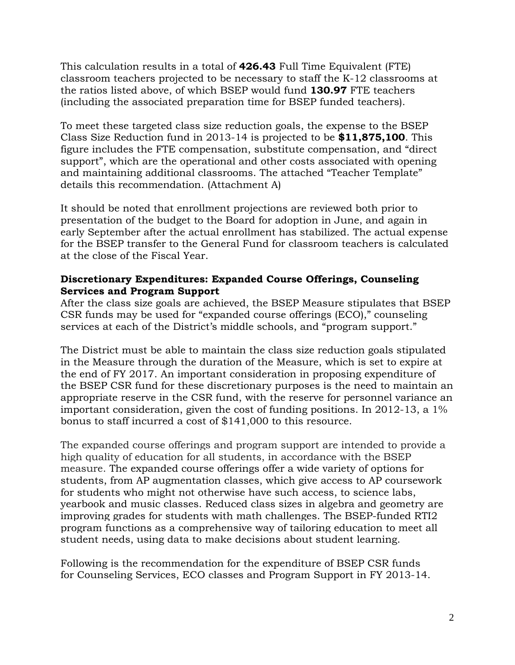This calculation results in a total of **426.43** Full Time Equivalent (FTE) classroom teachers projected to be necessary to staff the K-12 classrooms at the ratios listed above, of which BSEP would fund **130.97** FTE teachers (including the associated preparation time for BSEP funded teachers).

To meet these targeted class size reduction goals, the expense to the BSEP Class Size Reduction fund in 2013-14 is projected to be **\$11,875,100**. This figure includes the FTE compensation, substitute compensation, and "direct support", which are the operational and other costs associated with opening and maintaining additional classrooms. The attached "Teacher Template" details this recommendation. (Attachment A)

It should be noted that enrollment projections are reviewed both prior to presentation of the budget to the Board for adoption in June, and again in early September after the actual enrollment has stabilized. The actual expense for the BSEP transfer to the General Fund for classroom teachers is calculated at the close of the Fiscal Year.

## **Discretionary Expenditures: Expanded Course Offerings, Counseling Services and Program Support**

After the class size goals are achieved, the BSEP Measure stipulates that BSEP CSR funds may be used for "expanded course offerings (ECO)," counseling services at each of the District's middle schools, and "program support."

The District must be able to maintain the class size reduction goals stipulated in the Measure through the duration of the Measure, which is set to expire at the end of FY 2017. An important consideration in proposing expenditure of the BSEP CSR fund for these discretionary purposes is the need to maintain an appropriate reserve in the CSR fund, with the reserve for personnel variance an important consideration, given the cost of funding positions. In 2012-13, a 1% bonus to staff incurred a cost of \$141,000 to this resource.

The expanded course offerings and program support are intended to provide a high quality of education for all students, in accordance with the BSEP measure. The expanded course offerings offer a wide variety of options for students, from AP augmentation classes, which give access to AP coursework for students who might not otherwise have such access, to science labs, yearbook and music classes. Reduced class sizes in algebra and geometry are improving grades for students with math challenges. The BSEP-funded RTI2 program functions as a comprehensive way of tailoring education to meet all student needs, using data to make decisions about student learning.

Following is the recommendation for the expenditure of BSEP CSR funds for Counseling Services, ECO classes and Program Support in FY 2013-14.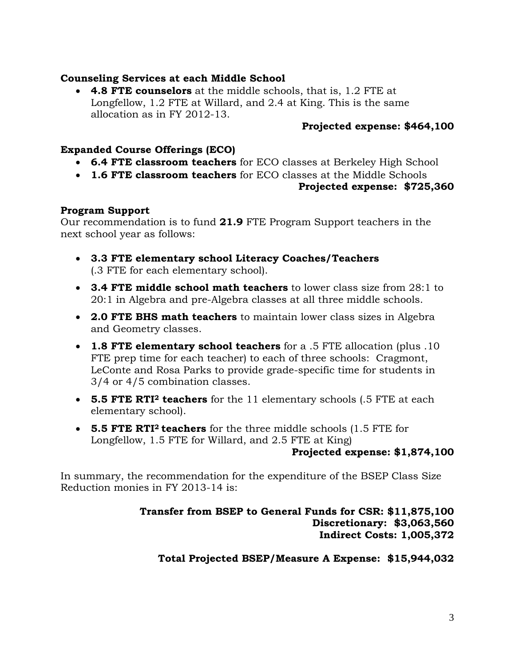#### **Counseling Services at each Middle School**

• **4.8 FTE counselors** at the middle schools, that is, 1.2 FTE at Longfellow, 1.2 FTE at Willard, and 2.4 at King. This is the same allocation as in FY 2012-13.

### **Projected expense: \$464,100**

# **Expanded Course Offerings (ECO)**

- **6.4 FTE classroom teachers** for ECO classes at Berkeley High School
- **1.6 FTE classroom teachers** for ECO classes at the Middle Schools

#### **Projected expense: \$725,360**

## **Program Support**

Our recommendation is to fund **21.9** FTE Program Support teachers in the next school year as follows:

- **3.3 FTE elementary school Literacy Coaches/Teachers**  (.3 FTE for each elementary school).
- **3.4 FTE middle school math teachers** to lower class size from 28:1 to 20:1 in Algebra and pre-Algebra classes at all three middle schools.
- **2.0 FTE BHS math teachers** to maintain lower class sizes in Algebra and Geometry classes.
- **1.8 FTE elementary school teachers** for a .5 FTE allocation (plus .10 FTE prep time for each teacher) to each of three schools: Cragmont, LeConte and Rosa Parks to provide grade-specific time for students in 3/4 or 4/5 combination classes.
- **5.5 FTE RTI2 teachers** for the 11 elementary schools (.5 FTE at each elementary school).
- **5.5 FTE RTI2 teachers** for the three middle schools (1.5 FTE for Longfellow, 1.5 FTE for Willard, and 2.5 FTE at King)

#### **Projected expense: \$1,874,100**

In summary, the recommendation for the expenditure of the BSEP Class Size Reduction monies in FY 2013-14 is:

## **Transfer from BSEP to General Funds for CSR: \$11,875,100 Discretionary: \$3,063,560 Indirect Costs: 1,005,372**

**Total Projected BSEP/Measure A Expense: \$15,944,032**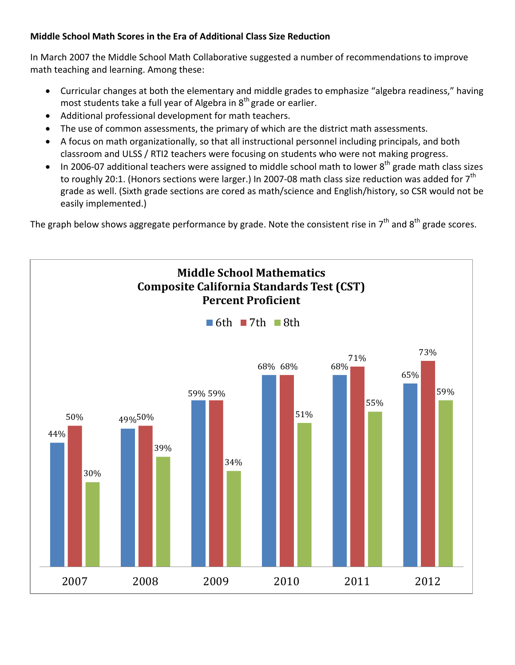# **Middle School Math Scores in the Era of Additional Class Size Reduction**

In March 2007 the Middle School Math Collaborative suggested a number of recommendations to improve math teaching and learning. Among these:

- Curricular changes at both the elementary and middle grades to emphasize "algebra readiness," having most students take a full year of Algebra in  $8<sup>th</sup>$  grade or earlier.
- Additional professional development for math teachers.
- The use of common assessments, the primary of which are the district math assessments.
- A focus on math organizationally, so that all instructional personnel including principals, and both classroom and ULSS / RTI2 teachers were focusing on students who were not making progress.
- In 2006-07 additional teachers were assigned to middle school math to lower  $8^{th}$  grade math class sizes to roughly 20:1. (Honors sections were larger.) In 2007-08 math class size reduction was added for  $7<sup>th</sup>$ grade as well. (Sixth grade sections are cored as math/science and English/history, so CSR would not be easily implemented.)

The graph below shows aggregate performance by grade. Note the consistent rise in  $7<sup>th</sup>$  and  $8<sup>th</sup>$  grade scores.